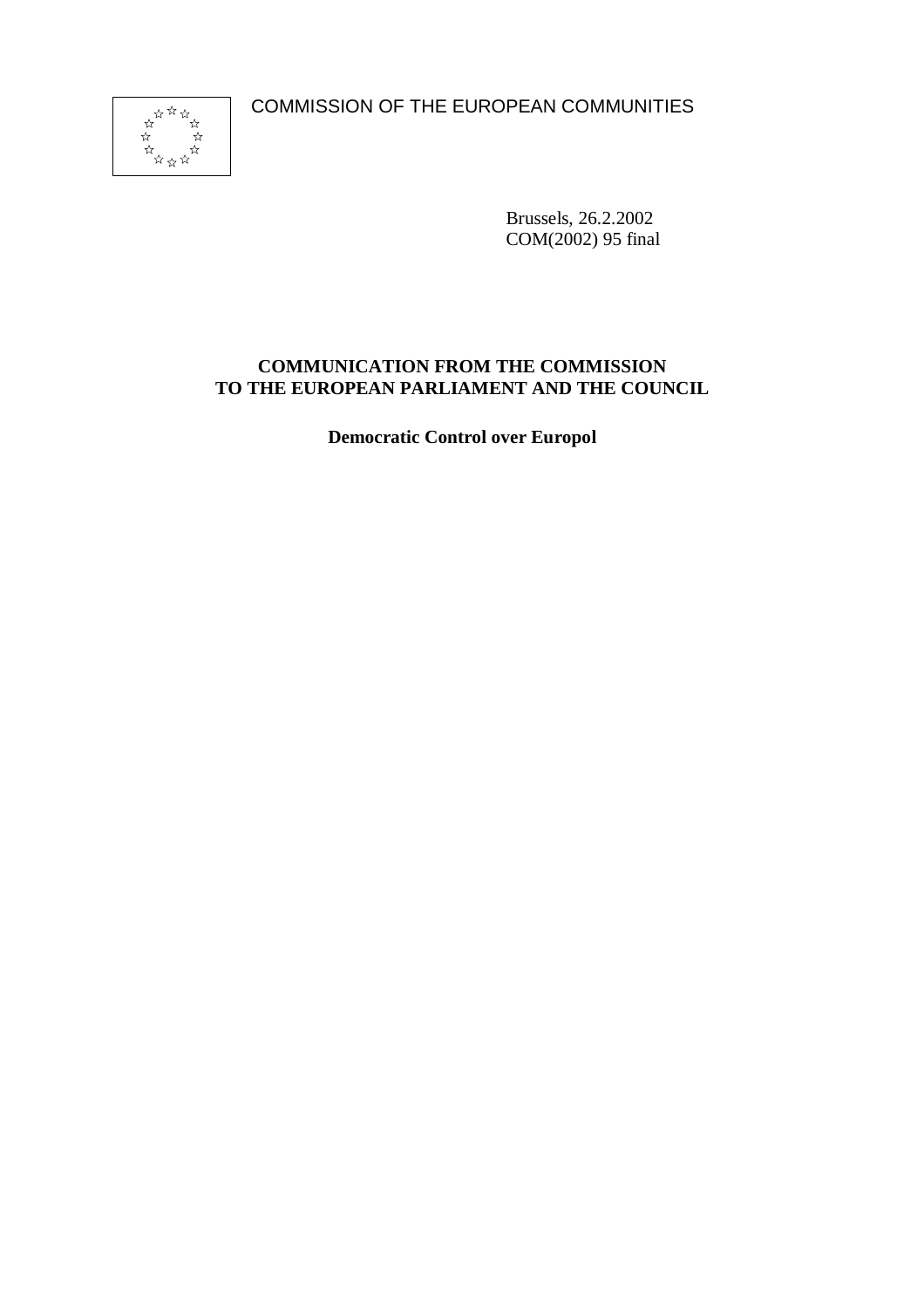COMMISSION OF THE EUROPEAN COMMUNITIES



Brussels, 26.2.2002 COM(2002) 95 final

## **COMMUNICATION FROM THE COMMISSION TO THE EUROPEAN PARLIAMENT AND THE COUNCIL**

**Democratic Control over Europol**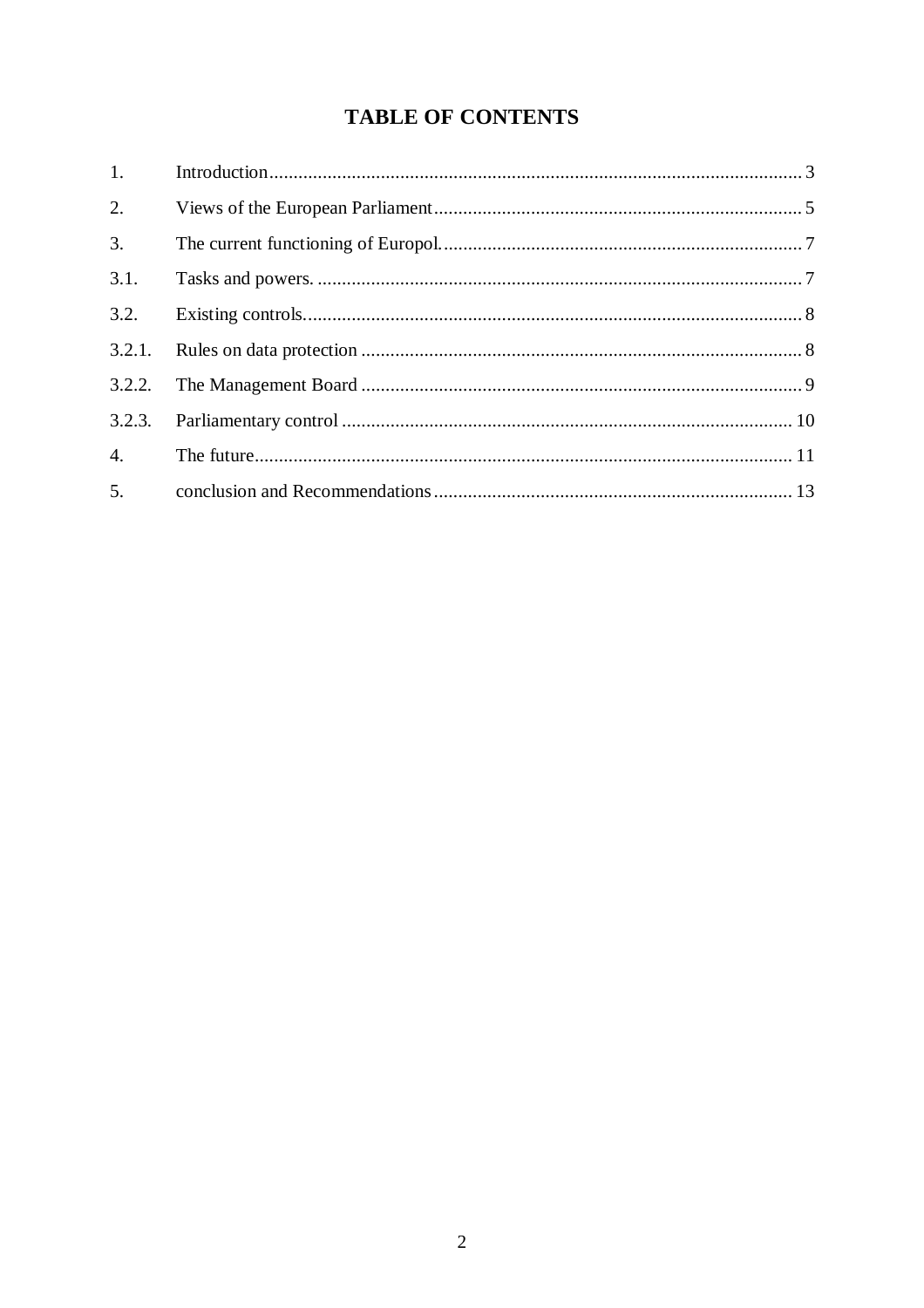# **TABLE OF CONTENTS**

| 1.               |  |
|------------------|--|
| $\overline{2}$ . |  |
| 3.               |  |
| 3.1.             |  |
| 3.2.             |  |
|                  |  |
|                  |  |
|                  |  |
| 4.               |  |
| 5.               |  |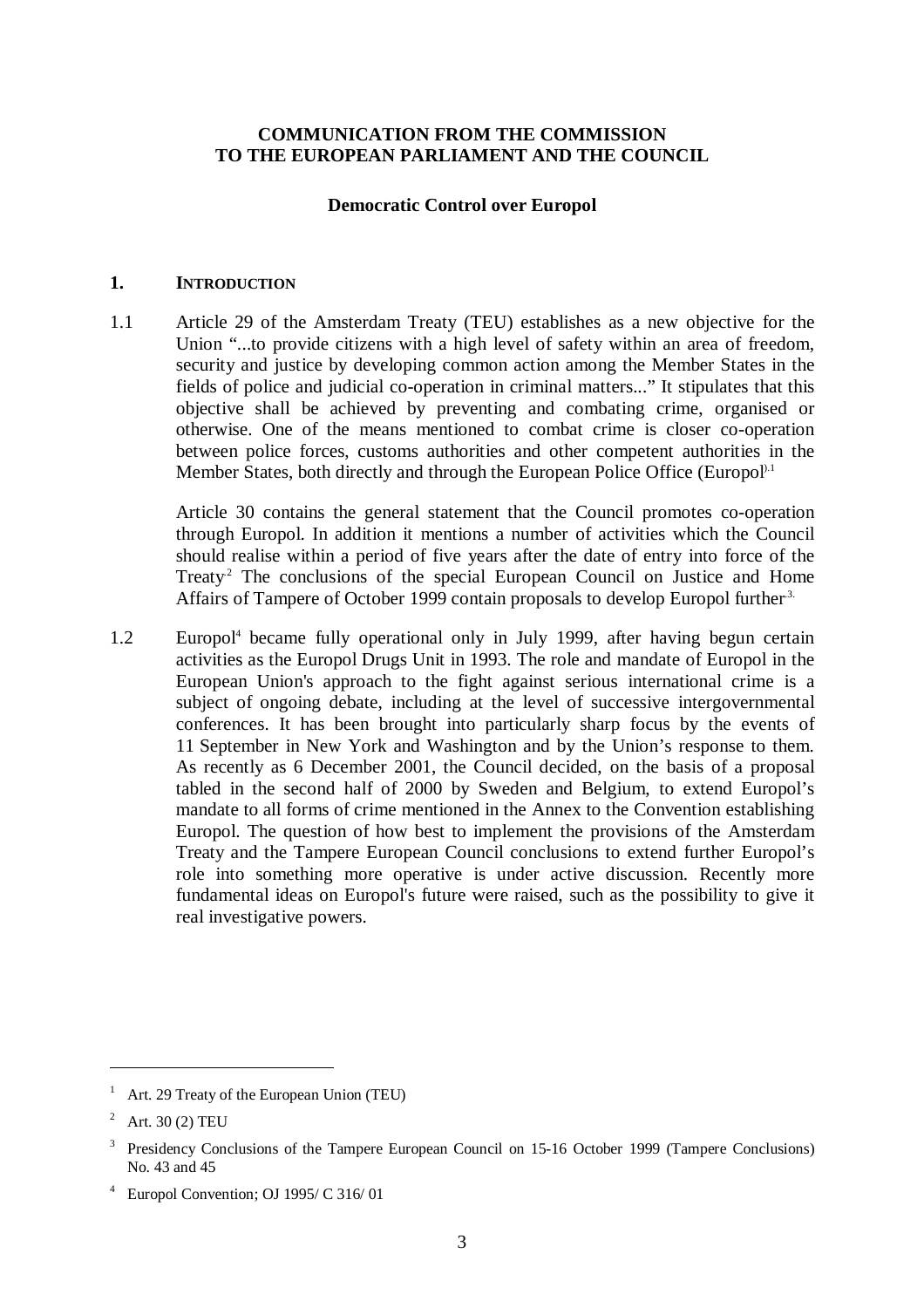### **COMMUNICATION FROM THE COMMISSION TO THE EUROPEAN PARLIAMENT AND THE COUNCIL**

#### **Democratic Control over Europol**

#### **1. INTRODUCTION**

1.1 Article 29 of the Amsterdam Treaty (TEU) establishes as a new objective for the Union "...to provide citizens with a high level of safety within an area of freedom, security and justice by developing common action among the Member States in the fields of police and judicial co-operation in criminal matters..." It stipulates that this objective shall be achieved by preventing and combating crime, organised or otherwise. One of the means mentioned to combat crime is closer co-operation between police forces, customs authorities and other competent authorities in the Member States, both directly and through the European Police Office (Europol<sup>).1</sup>

Article 30 contains the general statement that the Council promotes co-operation through Europol. In addition it mentions a number of activities which the Council should realise within a period of five years after the date of entry into force of the Treaty<sup>2</sup> The conclusions of the special European Council on Justice and Home Affairs of Tampere of October 1999 contain proposals to develop Europol further<sup>3.</sup>

1.2 Europol4 became fully operational only in July 1999, after having begun certain activities as the Europol Drugs Unit in 1993. The role and mandate of Europol in the European Union's approach to the fight against serious international crime is a subject of ongoing debate, including at the level of successive intergovernmental conferences. It has been brought into particularly sharp focus by the events of 11 September in New York and Washington and by the Union's response to them. As recently as 6 December 2001, the Council decided, on the basis of a proposal tabled in the second half of 2000 by Sweden and Belgium, to extend Europol's mandate to all forms of crime mentioned in the Annex to the Convention establishing Europol. The question of how best to implement the provisions of the Amsterdam Treaty and the Tampere European Council conclusions to extend further Europol's role into something more operative is under active discussion. Recently more fundamental ideas on Europol's future were raised, such as the possibility to give it real investigative powers.

<sup>&</sup>lt;sup>1</sup> Art. 29 Treaty of the European Union (TEU)

<sup>2</sup> Art. 30 (2) TEU

<sup>3</sup> Presidency Conclusions of the Tampere European Council on 15-16 October 1999 (Tampere Conclusions) No. 43 and 45

<sup>4</sup> Europol Convention; OJ 1995/ C 316/ 01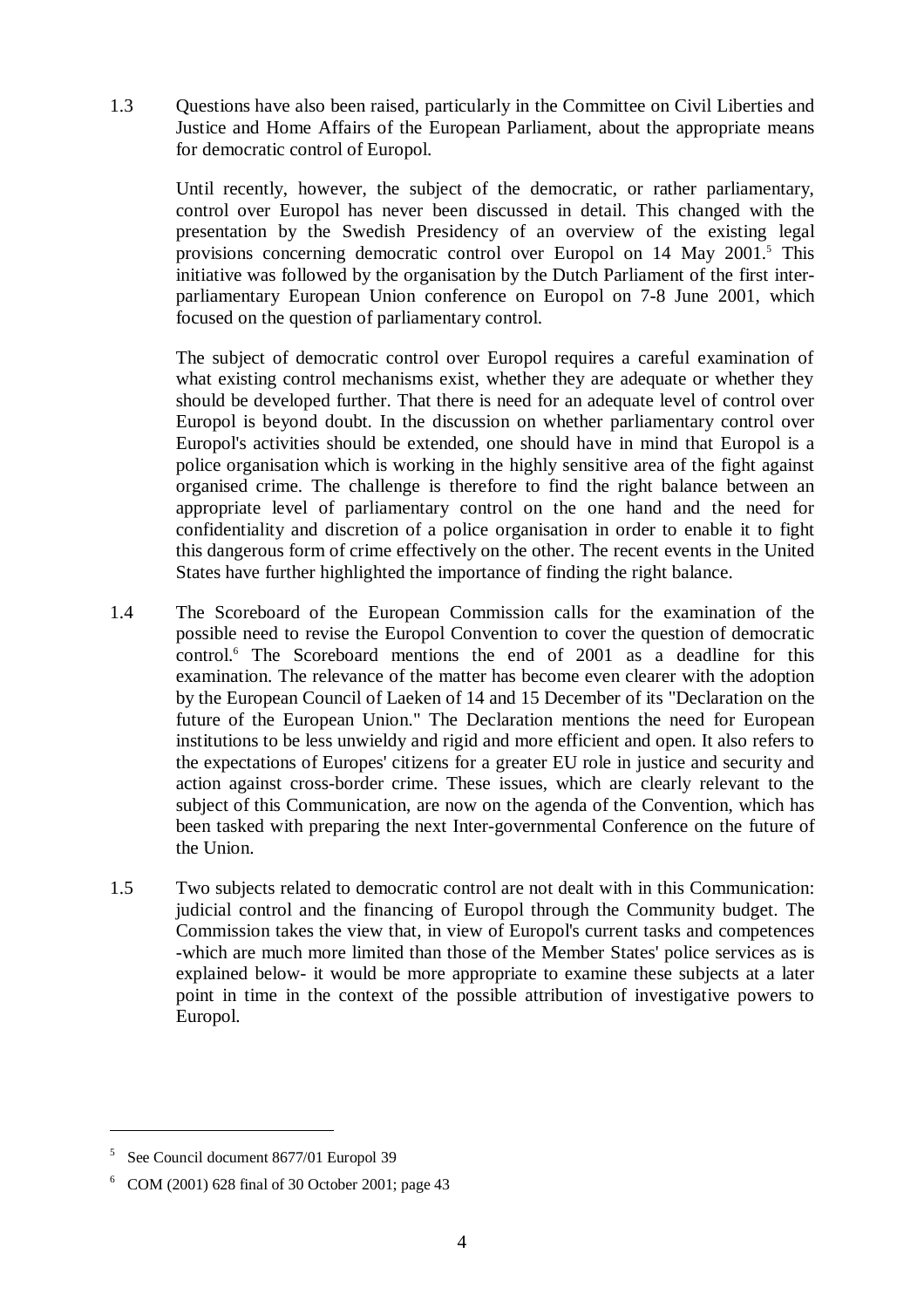1.3 Questions have also been raised, particularly in the Committee on Civil Liberties and Justice and Home Affairs of the European Parliament, about the appropriate means for democratic control of Europol.

Until recently, however, the subject of the democratic, or rather parliamentary, control over Europol has never been discussed in detail. This changed with the presentation by the Swedish Presidency of an overview of the existing legal provisions concerning democratic control over Europol on 14 May 2001.<sup>5</sup> This initiative was followed by the organisation by the Dutch Parliament of the first interparliamentary European Union conference on Europol on 7-8 June 2001, which focused on the question of parliamentary control.

The subject of democratic control over Europol requires a careful examination of what existing control mechanisms exist, whether they are adequate or whether they should be developed further. That there is need for an adequate level of control over Europol is beyond doubt. In the discussion on whether parliamentary control over Europol's activities should be extended, one should have in mind that Europol is a police organisation which is working in the highly sensitive area of the fight against organised crime. The challenge is therefore to find the right balance between an appropriate level of parliamentary control on the one hand and the need for confidentiality and discretion of a police organisation in order to enable it to fight this dangerous form of crime effectively on the other. The recent events in the United States have further highlighted the importance of finding the right balance.

- 1.4 The Scoreboard of the European Commission calls for the examination of the possible need to revise the Europol Convention to cover the question of democratic control.6 The Scoreboard mentions the end of 2001 as a deadline for this examination. The relevance of the matter has become even clearer with the adoption by the European Council of Laeken of 14 and 15 December of its "Declaration on the future of the European Union." The Declaration mentions the need for European institutions to be less unwieldy and rigid and more efficient and open. It also refers to the expectations of Europes' citizens for a greater EU role in justice and security and action against cross-border crime. These issues, which are clearly relevant to the subject of this Communication, are now on the agenda of the Convention, which has been tasked with preparing the next Inter-governmental Conference on the future of the Union.
- 1.5 Two subjects related to democratic control are not dealt with in this Communication: judicial control and the financing of Europol through the Community budget. The Commission takes the view that, in view of Europol's current tasks and competences -which are much more limited than those of the Member States' police services as is explained below- it would be more appropriate to examine these subjects at a later point in time in the context of the possible attribution of investigative powers to Europol.

<sup>5</sup> See Council document 8677/01 Europol 39

 $6$  COM (2001) 628 final of 30 October 2001; page 43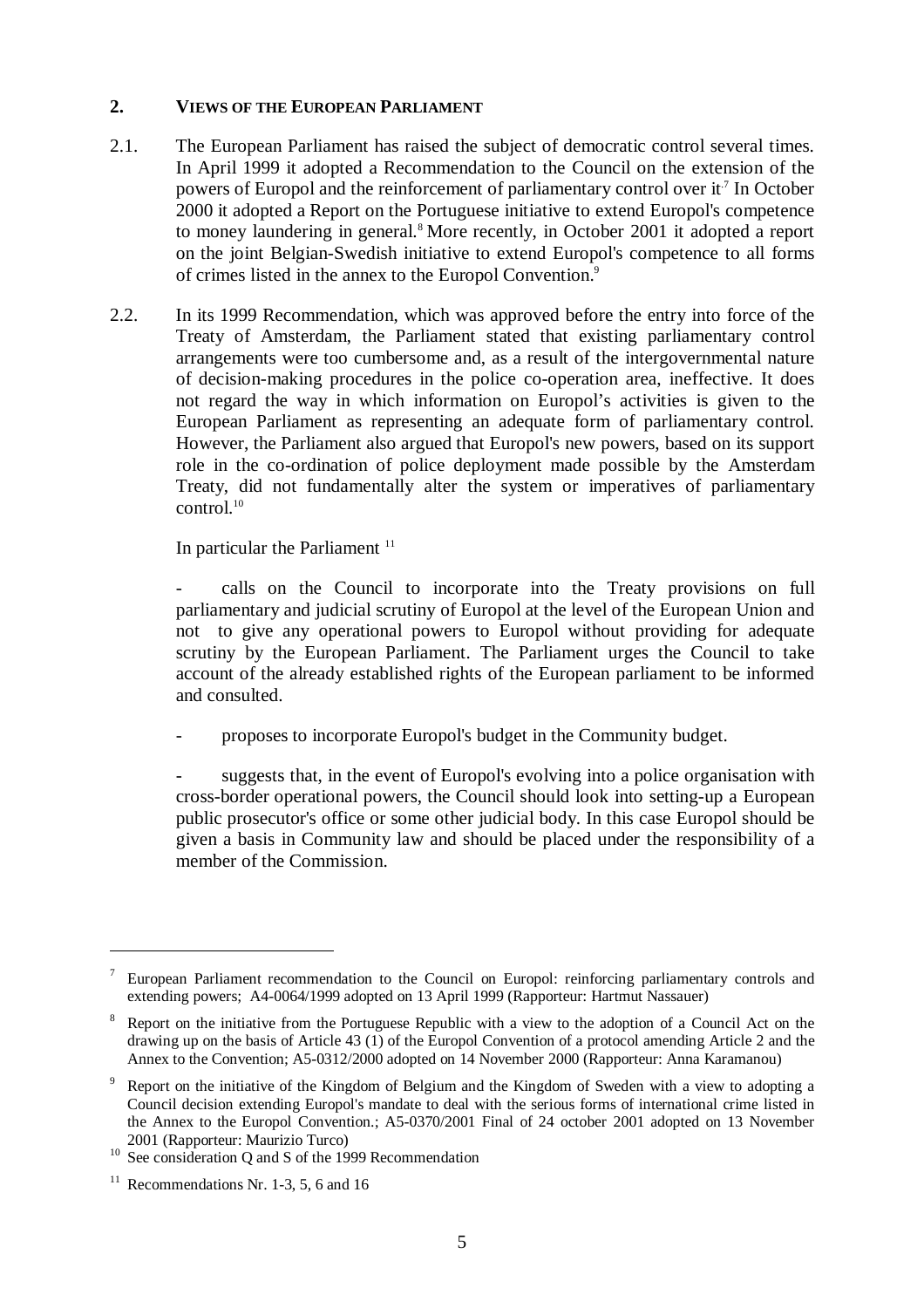#### **2. VIEWS OF THE EUROPEAN PARLIAMENT**

- 2.1. The European Parliament has raised the subject of democratic control several times. In April 1999 it adopted a Recommendation to the Council on the extension of the powers of Europol and the reinforcement of parliamentary control over it.<sup>7</sup> In October 2000 it adopted a Report on the Portuguese initiative to extend Europol's competence to money laundering in general.8 More recently, in October 2001 it adopted a report on the joint Belgian-Swedish initiative to extend Europol's competence to all forms of crimes listed in the annex to the Europol Convention.<sup>9</sup>
- 2.2. In its 1999 Recommendation, which was approved before the entry into force of the Treaty of Amsterdam, the Parliament stated that existing parliamentary control arrangements were too cumbersome and, as a result of the intergovernmental nature of decision-making procedures in the police co-operation area, ineffective. It does not regard the way in which information on Europol's activities is given to the European Parliament as representing an adequate form of parliamentary control. However, the Parliament also argued that Europol's new powers, based on its support role in the co-ordination of police deployment made possible by the Amsterdam Treaty, did not fundamentally alter the system or imperatives of parliamentary control.10

In particular the Parliament $11$ 

calls on the Council to incorporate into the Treaty provisions on full parliamentary and judicial scrutiny of Europol at the level of the European Union and not to give any operational powers to Europol without providing for adequate scrutiny by the European Parliament. The Parliament urges the Council to take account of the already established rights of the European parliament to be informed and consulted.

- proposes to incorporate Europol's budget in the Community budget.

suggests that, in the event of Europol's evolving into a police organisation with cross-border operational powers, the Council should look into setting-up a European public prosecutor's office or some other judicial body. In this case Europol should be given a basis in Community law and should be placed under the responsibility of a member of the Commission.

<sup>7</sup> European Parliament recommendation to the Council on Europol: reinforcing parliamentary controls and extending powers; A4-0064/1999 adopted on 13 April 1999 (Rapporteur: Hartmut Nassauer)

<sup>8</sup> Report on the initiative from the Portuguese Republic with a view to the adoption of a Council Act on the drawing up on the basis of Article 43 (1) of the Europol Convention of a protocol amending Article 2 and the Annex to the Convention; A5-0312/2000 adopted on 14 November 2000 (Rapporteur: Anna Karamanou)

Report on the initiative of the Kingdom of Belgium and the Kingdom of Sweden with a view to adopting a Council decision extending Europol's mandate to deal with the serious forms of international crime listed in the Annex to the Europol Convention.; A5-0370/2001 Final of 24 october 2001 adopted on 13 November 2001 (Rapporteur: Maurizio Turco)

<sup>&</sup>lt;sup>10</sup> See consideration Q and S of the 1999 Recommendation

<sup>&</sup>lt;sup>11</sup> Recommendations Nr. 1-3, 5, 6 and 16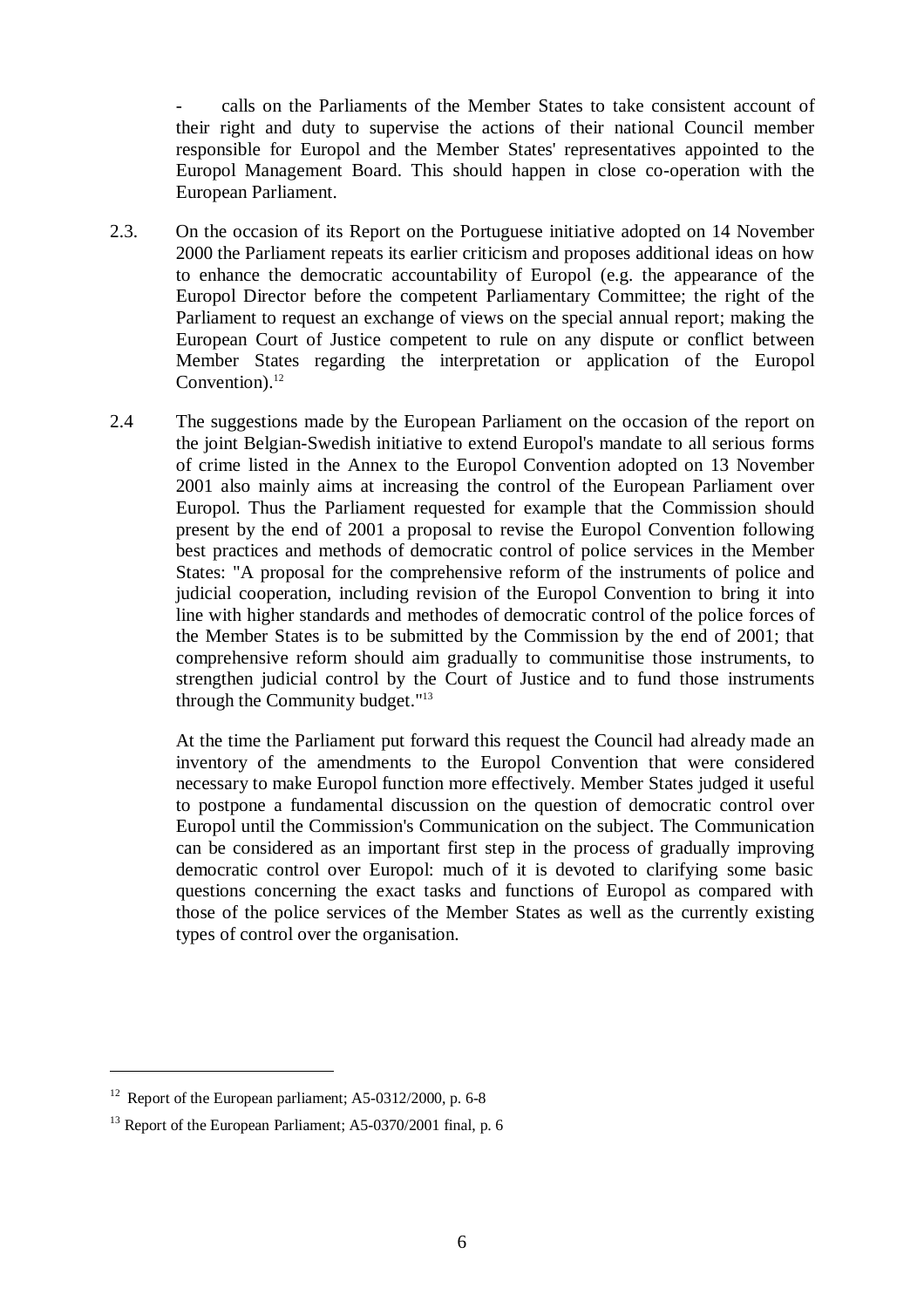calls on the Parliaments of the Member States to take consistent account of their right and duty to supervise the actions of their national Council member responsible for Europol and the Member States' representatives appointed to the Europol Management Board. This should happen in close co-operation with the European Parliament.

- 2.3. On the occasion of its Report on the Portuguese initiative adopted on 14 November 2000 the Parliament repeats its earlier criticism and proposes additional ideas on how to enhance the democratic accountability of Europol (e.g. the appearance of the Europol Director before the competent Parliamentary Committee; the right of the Parliament to request an exchange of views on the special annual report; making the European Court of Justice competent to rule on any dispute or conflict between Member States regarding the interpretation or application of the Europol Convention). $^{12}$
- 2.4 The suggestions made by the European Parliament on the occasion of the report on the joint Belgian-Swedish initiative to extend Europol's mandate to all serious forms of crime listed in the Annex to the Europol Convention adopted on 13 November 2001 also mainly aims at increasing the control of the European Parliament over Europol. Thus the Parliament requested for example that the Commission should present by the end of 2001 a proposal to revise the Europol Convention following best practices and methods of democratic control of police services in the Member States: "A proposal for the comprehensive reform of the instruments of police and judicial cooperation, including revision of the Europol Convention to bring it into line with higher standards and methodes of democratic control of the police forces of the Member States is to be submitted by the Commission by the end of 2001; that comprehensive reform should aim gradually to communitise those instruments, to strengthen judicial control by the Court of Justice and to fund those instruments through the Community budget."13

At the time the Parliament put forward this request the Council had already made an inventory of the amendments to the Europol Convention that were considered necessary to make Europol function more effectively. Member States judged it useful to postpone a fundamental discussion on the question of democratic control over Europol until the Commission's Communication on the subject. The Communication can be considered as an important first step in the process of gradually improving democratic control over Europol: much of it is devoted to clarifying some basic questions concerning the exact tasks and functions of Europol as compared with those of the police services of the Member States as well as the currently existing types of control over the organisation.

<sup>&</sup>lt;sup>12</sup> Report of the European parliament:  $A5-0312/2000$ , p. 6-8

<sup>&</sup>lt;sup>13</sup> Report of the European Parliament; A5-0370/2001 final, p. 6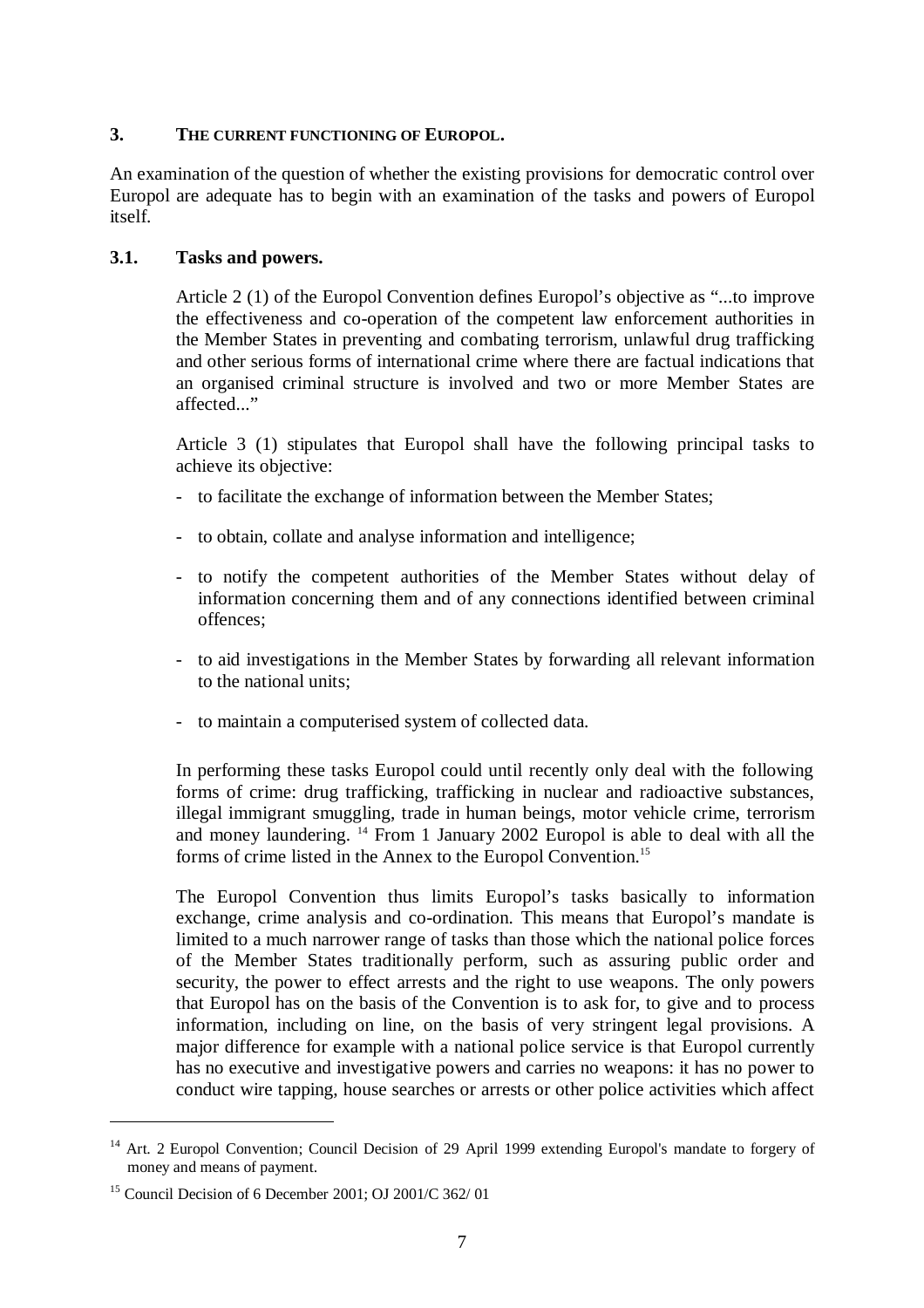## **3. THE CURRENT FUNCTIONING OF EUROPOL.**

An examination of the question of whether the existing provisions for democratic control over Europol are adequate has to begin with an examination of the tasks and powers of Europol itself.

## **3.1. Tasks and powers.**

Article 2 (1) of the Europol Convention defines Europol's objective as "...to improve the effectiveness and co-operation of the competent law enforcement authorities in the Member States in preventing and combating terrorism, unlawful drug trafficking and other serious forms of international crime where there are factual indications that an organised criminal structure is involved and two or more Member States are affected..."

Article 3 (1) stipulates that Europol shall have the following principal tasks to achieve its objective:

- to facilitate the exchange of information between the Member States;
- to obtain, collate and analyse information and intelligence;
- to notify the competent authorities of the Member States without delay of information concerning them and of any connections identified between criminal offences;
- to aid investigations in the Member States by forwarding all relevant information to the national units;
- to maintain a computerised system of collected data.

In performing these tasks Europol could until recently only deal with the following forms of crime: drug trafficking, trafficking in nuclear and radioactive substances, illegal immigrant smuggling, trade in human beings, motor vehicle crime, terrorism and money laundering. <sup>14</sup> From 1 January 2002 Europol is able to deal with all the forms of crime listed in the Annex to the Europol Convention.<sup>15</sup>

The Europol Convention thus limits Europol's tasks basically to information exchange, crime analysis and co-ordination. This means that Europol's mandate is limited to a much narrower range of tasks than those which the national police forces of the Member States traditionally perform, such as assuring public order and security, the power to effect arrests and the right to use weapons. The only powers that Europol has on the basis of the Convention is to ask for, to give and to process information, including on line, on the basis of very stringent legal provisions. A major difference for example with a national police service is that Europol currently has no executive and investigative powers and carries no weapons: it has no power to conduct wire tapping, house searches or arrests or other police activities which affect

<sup>&</sup>lt;sup>14</sup> Art. 2 Europol Convention; Council Decision of 29 April 1999 extending Europol's mandate to forgery of money and means of payment.

<sup>15</sup> Council Decision of 6 December 2001; OJ 2001/C 362/ 01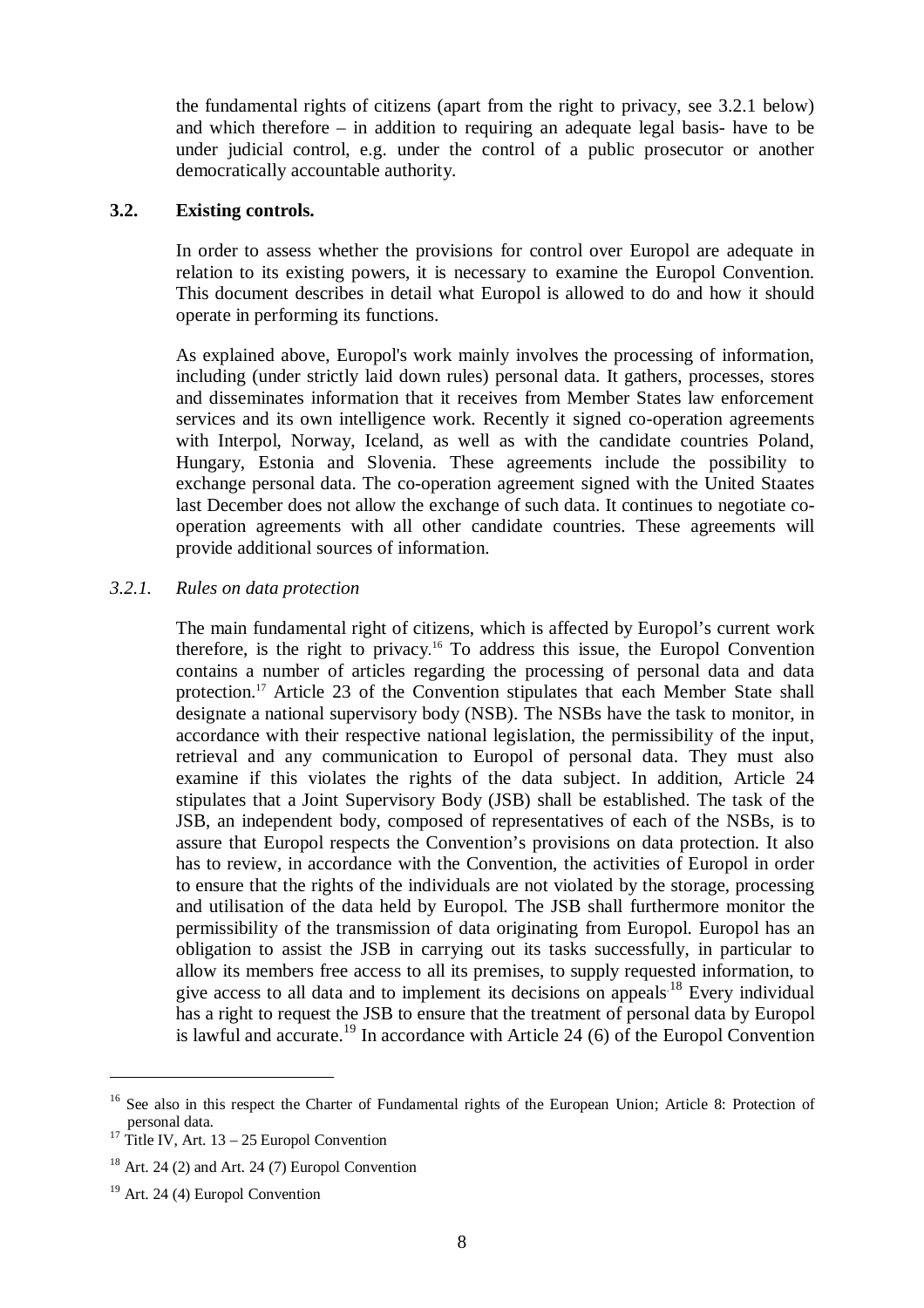the fundamental rights of citizens (apart from the right to privacy, see 3.2.1 below) and which therefore – in addition to requiring an adequate legal basis- have to be under judicial control, e.g. under the control of a public prosecutor or another democratically accountable authority.

#### **3.2. Existing controls.**

In order to assess whether the provisions for control over Europol are adequate in relation to its existing powers, it is necessary to examine the Europol Convention. This document describes in detail what Europol is allowed to do and how it should operate in performing its functions.

As explained above, Europol's work mainly involves the processing of information, including (under strictly laid down rules) personal data. It gathers, processes, stores and disseminates information that it receives from Member States law enforcement services and its own intelligence work. Recently it signed co-operation agreements with Interpol, Norway, Iceland, as well as with the candidate countries Poland, Hungary, Estonia and Slovenia. These agreements include the possibility to exchange personal data. The co-operation agreement signed with the United Staates last December does not allow the exchange of such data. It continues to negotiate cooperation agreements with all other candidate countries. These agreements will provide additional sources of information.

#### *3.2.1. Rules on data protection*

The main fundamental right of citizens, which is affected by Europol's current work therefore, is the right to privacy. <sup>16</sup> To address this issue, the Europol Convention contains a number of articles regarding the processing of personal data and data protection.17 Article 23 of the Convention stipulates that each Member State shall designate a national supervisory body (NSB). The NSBs have the task to monitor, in accordance with their respective national legislation, the permissibility of the input, retrieval and any communication to Europol of personal data. They must also examine if this violates the rights of the data subject. In addition, Article 24 stipulates that a Joint Supervisory Body (JSB) shall be established. The task of the JSB, an independent body, composed of representatives of each of the NSBs, is to assure that Europol respects the Convention's provisions on data protection. It also has to review, in accordance with the Convention, the activities of Europol in order to ensure that the rights of the individuals are not violated by the storage, processing and utilisation of the data held by Europol. The JSB shall furthermore monitor the permissibility of the transmission of data originating from Europol. Europol has an obligation to assist the JSB in carrying out its tasks successfully, in particular to allow its members free access to all its premises, to supply requested information, to give access to all data and to implement its decisions on appeals<sup>18</sup> Every individual has a right to request the JSB to ensure that the treatment of personal data by Europol is lawful and accurate.<sup>19</sup> In accordance with Article 24 (6) of the Europol Convention

<sup>&</sup>lt;sup>16</sup> See also in this respect the Charter of Fundamental rights of the European Union; Article 8: Protection of personal data.<br><sup>17</sup> Title IV, Art. 13 – 25 Europol Convention

 $18$  Art. 24 (2) and Art. 24 (7) Europol Convention

<sup>19</sup> Art. 24 (4) Europol Convention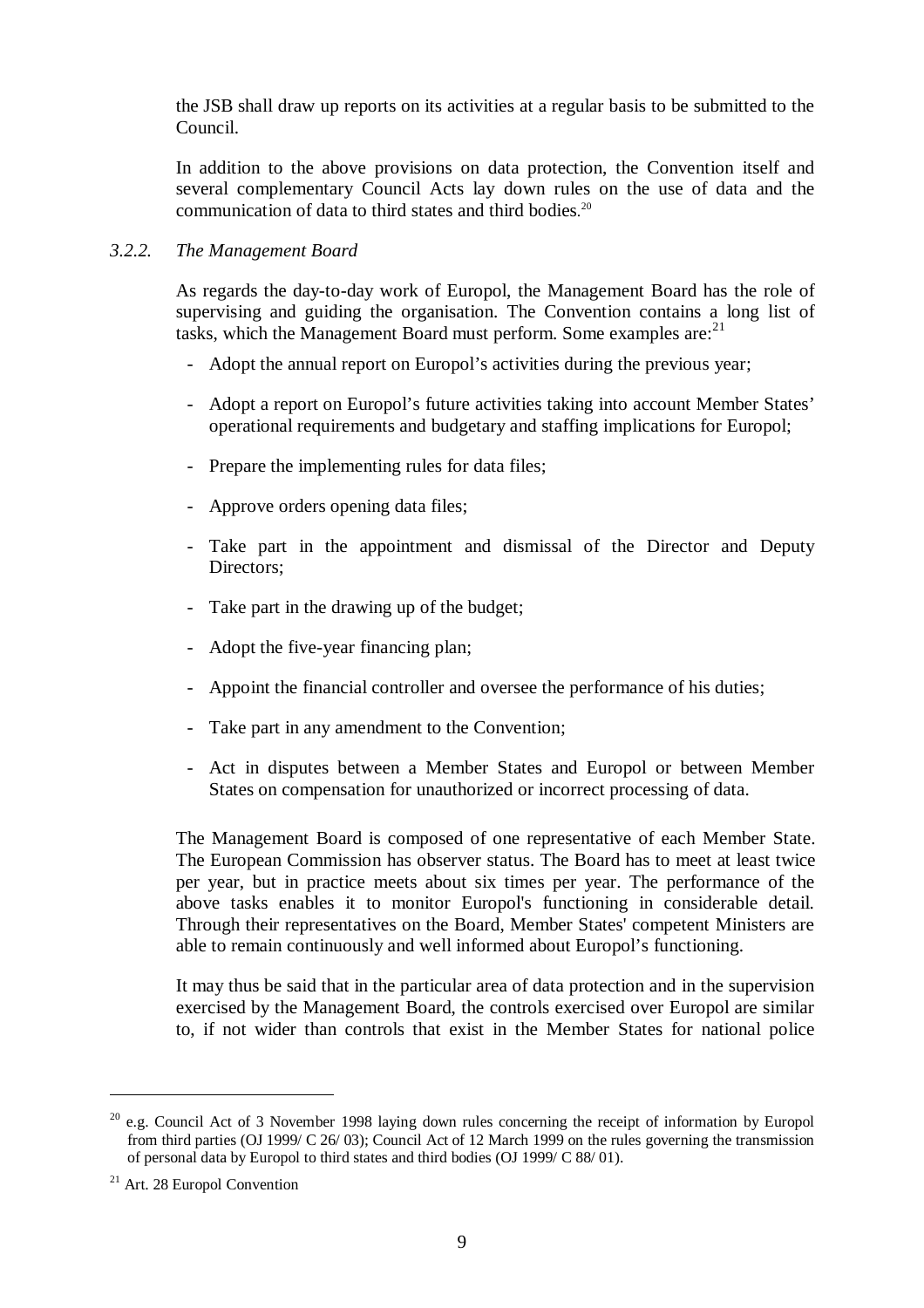the JSB shall draw up reports on its activities at a regular basis to be submitted to the Council.

In addition to the above provisions on data protection, the Convention itself and several complementary Council Acts lay down rules on the use of data and the communication of data to third states and third bodies. 20

## *3.2.2. The Management Board*

As regards the day-to-day work of Europol, the Management Board has the role of supervising and guiding the organisation. The Convention contains a long list of tasks, which the Management Board must perform. Some examples  $are: <sup>21</sup>$ 

- Adopt the annual report on Europol's activities during the previous year;
- Adopt a report on Europol's future activities taking into account Member States' operational requirements and budgetary and staffing implications for Europol;
- Prepare the implementing rules for data files;
- Approve orders opening data files;
- Take part in the appointment and dismissal of the Director and Deputy Directors;
- Take part in the drawing up of the budget;
- Adopt the five-year financing plan;
- Appoint the financial controller and oversee the performance of his duties;
- Take part in any amendment to the Convention;
- Act in disputes between a Member States and Europol or between Member States on compensation for unauthorized or incorrect processing of data.

The Management Board is composed of one representative of each Member State. The European Commission has observer status. The Board has to meet at least twice per year, but in practice meets about six times per year. The performance of the above tasks enables it to monitor Europol's functioning in considerable detail. Through their representatives on the Board, Member States' competent Ministers are able to remain continuously and well informed about Europol's functioning.

It may thus be said that in the particular area of data protection and in the supervision exercised by the Management Board, the controls exercised over Europol are similar to, if not wider than controls that exist in the Member States for national police

 $20$  e.g. Council Act of 3 November 1998 laying down rules concerning the receipt of information by Europol from third parties (OJ 1999/ C 26/ 03); Council Act of 12 March 1999 on the rules governing the transmission of personal data by Europol to third states and third bodies (OJ 1999/ C 88/ 01).

<sup>21</sup> Art. 28 Europol Convention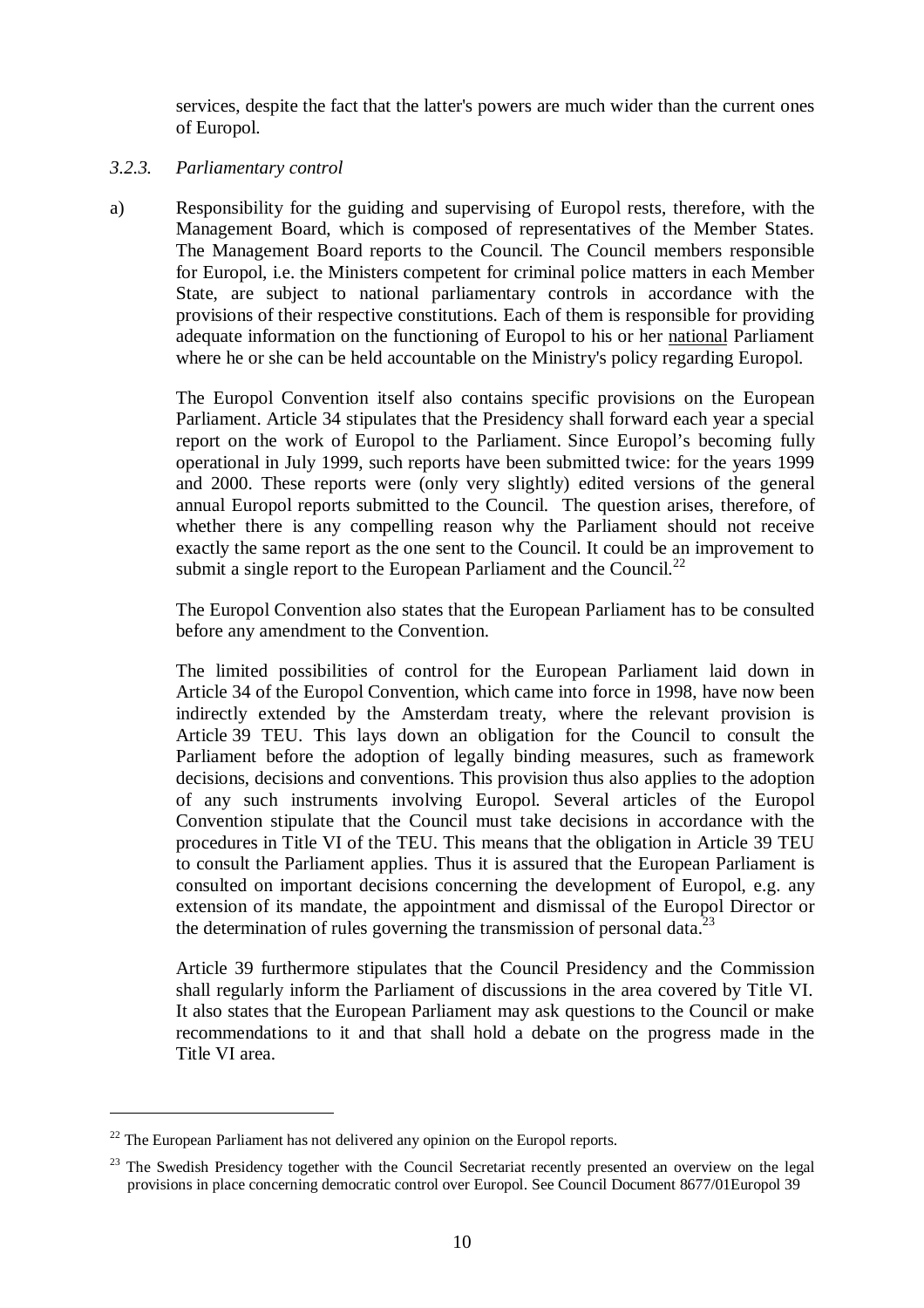services, despite the fact that the latter's powers are much wider than the current ones of Europol.

## *3.2.3. Parliamentary control*

a) Responsibility for the guiding and supervising of Europol rests, therefore, with the Management Board, which is composed of representatives of the Member States. The Management Board reports to the Council. The Council members responsible for Europol, i.e. the Ministers competent for criminal police matters in each Member State, are subject to national parliamentary controls in accordance with the provisions of their respective constitutions. Each of them is responsible for providing adequate information on the functioning of Europol to his or her national Parliament where he or she can be held accountable on the Ministry's policy regarding Europol.

The Europol Convention itself also contains specific provisions on the European Parliament. Article 34 stipulates that the Presidency shall forward each year a special report on the work of Europol to the Parliament. Since Europol's becoming fully operational in July 1999, such reports have been submitted twice: for the years 1999 and 2000. These reports were (only very slightly) edited versions of the general annual Europol reports submitted to the Council. The question arises, therefore, of whether there is any compelling reason why the Parliament should not receive exactly the same report as the one sent to the Council. It could be an improvement to submit a single report to the European Parliament and the Council.<sup>22</sup>

The Europol Convention also states that the European Parliament has to be consulted before any amendment to the Convention.

The limited possibilities of control for the European Parliament laid down in Article 34 of the Europol Convention, which came into force in 1998, have now been indirectly extended by the Amsterdam treaty, where the relevant provision is Article 39 TEU. This lays down an obligation for the Council to consult the Parliament before the adoption of legally binding measures, such as framework decisions, decisions and conventions. This provision thus also applies to the adoption of any such instruments involving Europol. Several articles of the Europol Convention stipulate that the Council must take decisions in accordance with the procedures in Title VI of the TEU. This means that the obligation in Article 39 TEU to consult the Parliament applies. Thus it is assured that the European Parliament is consulted on important decisions concerning the development of Europol, e.g. any extension of its mandate, the appointment and dismissal of the Europol Director or the determination of rules governing the transmission of personal data.<sup>23</sup>

Article 39 furthermore stipulates that the Council Presidency and the Commission shall regularly inform the Parliament of discussions in the area covered by Title VI. It also states that the European Parliament may ask questions to the Council or make recommendations to it and that shall hold a debate on the progress made in the Title VI area.

 $22$  The European Parliament has not delivered any opinion on the Europol reports.

<sup>&</sup>lt;sup>23</sup> The Swedish Presidency together with the Council Secretariat recently presented an overview on the legal provisions in place concerning democratic control over Europol. See Council Document 8677/01Europol 39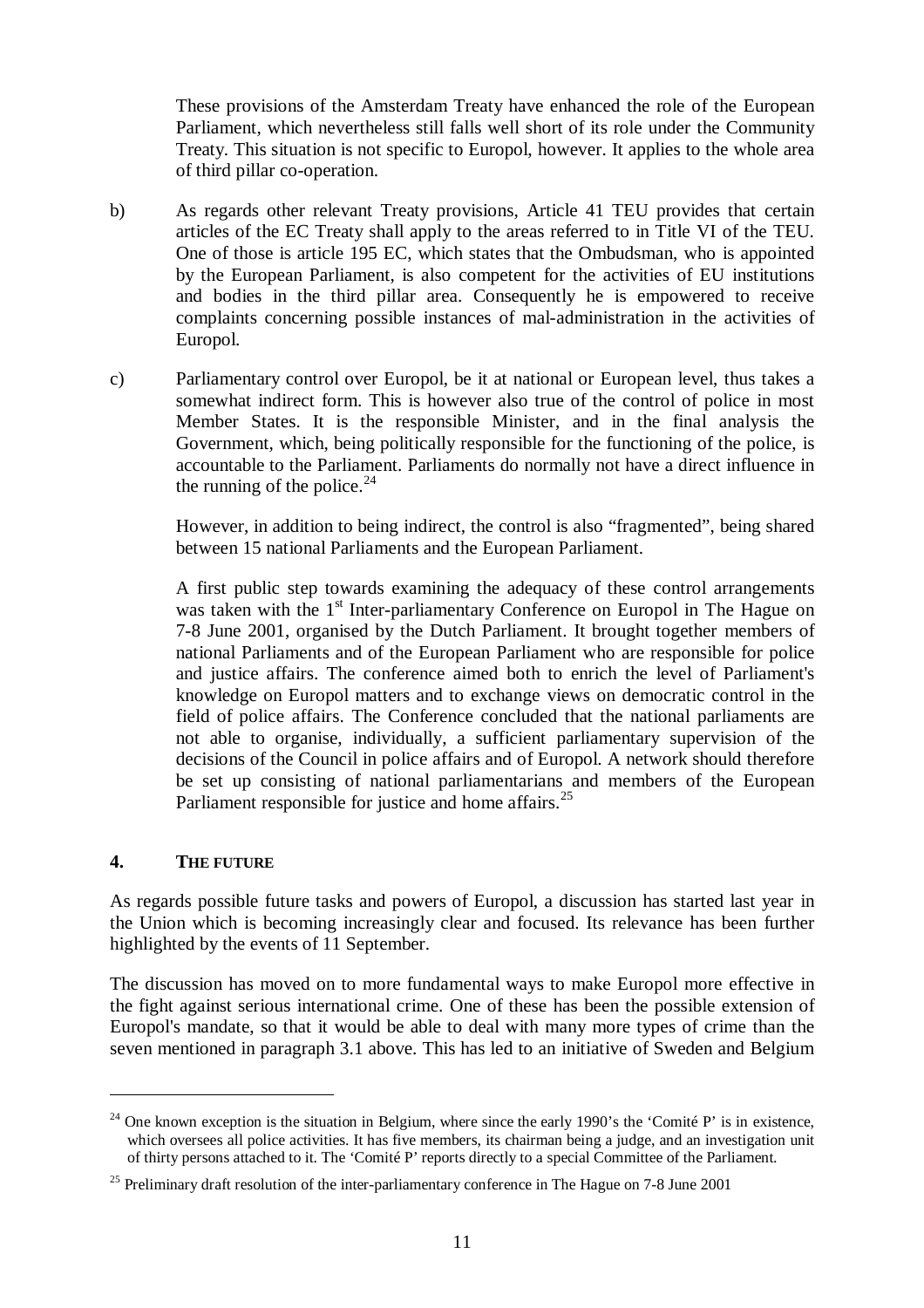These provisions of the Amsterdam Treaty have enhanced the role of the European Parliament, which nevertheless still falls well short of its role under the Community Treaty. This situation is not specific to Europol, however. It applies to the whole area of third pillar co-operation.

- b) As regards other relevant Treaty provisions, Article 41 TEU provides that certain articles of the EC Treaty shall apply to the areas referred to in Title VI of the TEU. One of those is article 195 EC, which states that the Ombudsman, who is appointed by the European Parliament, is also competent for the activities of EU institutions and bodies in the third pillar area. Consequently he is empowered to receive complaints concerning possible instances of mal-administration in the activities of Europol.
- c) Parliamentary control over Europol, be it at national or European level, thus takes a somewhat indirect form. This is however also true of the control of police in most Member States. It is the responsible Minister, and in the final analysis the Government, which, being politically responsible for the functioning of the police, is accountable to the Parliament. Parliaments do normally not have a direct influence in the running of the police.<sup>24</sup>

However, in addition to being indirect, the control is also "fragmented", being shared between 15 national Parliaments and the European Parliament.

A first public step towards examining the adequacy of these control arrangements was taken with the  $1<sup>st</sup>$  Inter-parliamentary Conference on Europol in The Hague on 7-8 June 2001, organised by the Dutch Parliament. It brought together members of national Parliaments and of the European Parliament who are responsible for police and justice affairs. The conference aimed both to enrich the level of Parliament's knowledge on Europol matters and to exchange views on democratic control in the field of police affairs. The Conference concluded that the national parliaments are not able to organise, individually, a sufficient parliamentary supervision of the decisions of the Council in police affairs and of Europol. A network should therefore be set up consisting of national parliamentarians and members of the European Parliament responsible for justice and home affairs. $25$ 

## **4. THE FUTURE**

As regards possible future tasks and powers of Europol, a discussion has started last year in the Union which is becoming increasingly clear and focused. Its relevance has been further highlighted by the events of 11 September.

The discussion has moved on to more fundamental ways to make Europol more effective in the fight against serious international crime. One of these has been the possible extension of Europol's mandate, so that it would be able to deal with many more types of crime than the seven mentioned in paragraph 3.1 above. This has led to an initiative of Sweden and Belgium

<sup>&</sup>lt;sup>24</sup> One known exception is the situation in Belgium, where since the early 1990's the 'Comité P' is in existence, which oversees all police activities. It has five members, its chairman being a judge, and an investigation unit of thirty persons attached to it. The 'Comité P' reports directly to a special Committee of the Parliament.

<sup>&</sup>lt;sup>25</sup> Preliminary draft resolution of the inter-parliamentary conference in The Hague on  $7-8$  June 2001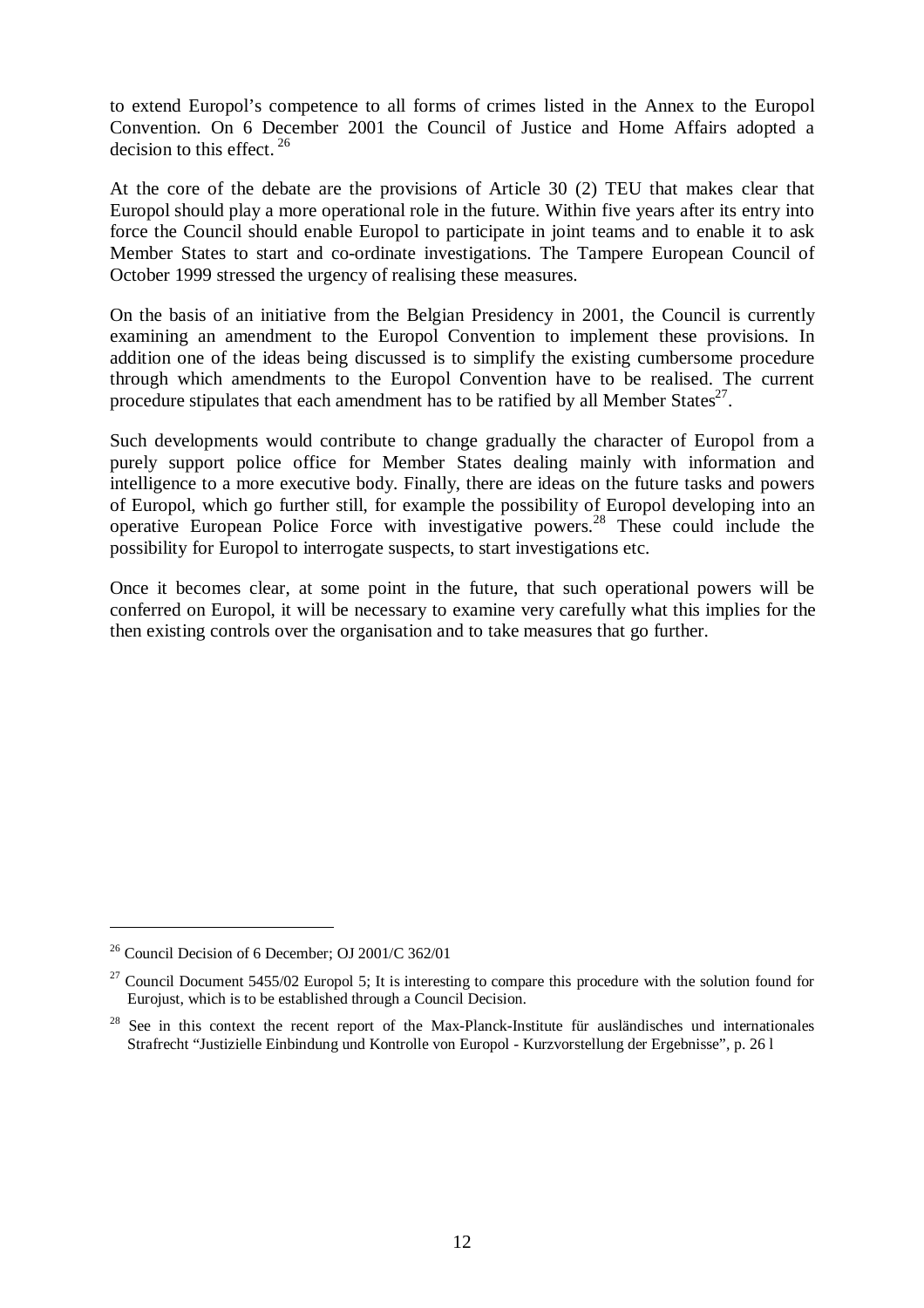to extend Europol's competence to all forms of crimes listed in the Annex to the Europol Convention. On 6 December 2001 the Council of Justice and Home Affairs adopted a decision to this effect. <sup>26</sup>

At the core of the debate are the provisions of Article 30 (2) TEU that makes clear that Europol should play a more operational role in the future. Within five years after its entry into force the Council should enable Europol to participate in joint teams and to enable it to ask Member States to start and co-ordinate investigations. The Tampere European Council of October 1999 stressed the urgency of realising these measures.

On the basis of an initiative from the Belgian Presidency in 2001, the Council is currently examining an amendment to the Europol Convention to implement these provisions. In addition one of the ideas being discussed is to simplify the existing cumbersome procedure through which amendments to the Europol Convention have to be realised. The current procedure stipulates that each amendment has to be ratified by all Member States<sup>27</sup>.

Such developments would contribute to change gradually the character of Europol from a purely support police office for Member States dealing mainly with information and intelligence to a more executive body. Finally, there are ideas on the future tasks and powers of Europol, which go further still, for example the possibility of Europol developing into an operative European Police Force with investigative powers.<sup>28</sup> These could include the possibility for Europol to interrogate suspects, to start investigations etc.

Once it becomes clear, at some point in the future, that such operational powers will be conferred on Europol, it will be necessary to examine very carefully what this implies for the then existing controls over the organisation and to take measures that go further.

<sup>&</sup>lt;sup>26</sup> Council Decision of 6 December: OJ 2001/C 362/01

<sup>&</sup>lt;sup>27</sup> Council Document 5455/02 Europol 5; It is interesting to compare this procedure with the solution found for Eurojust, which is to be established through a Council Decision.

<sup>&</sup>lt;sup>28</sup> See in this context the recent report of the Max-Planck-Institute für ausländisches und internationales Strafrecht "Justizielle Einbindung und Kontrolle von Europol - Kurzvorstellung der Ergebnisse", p. 26 l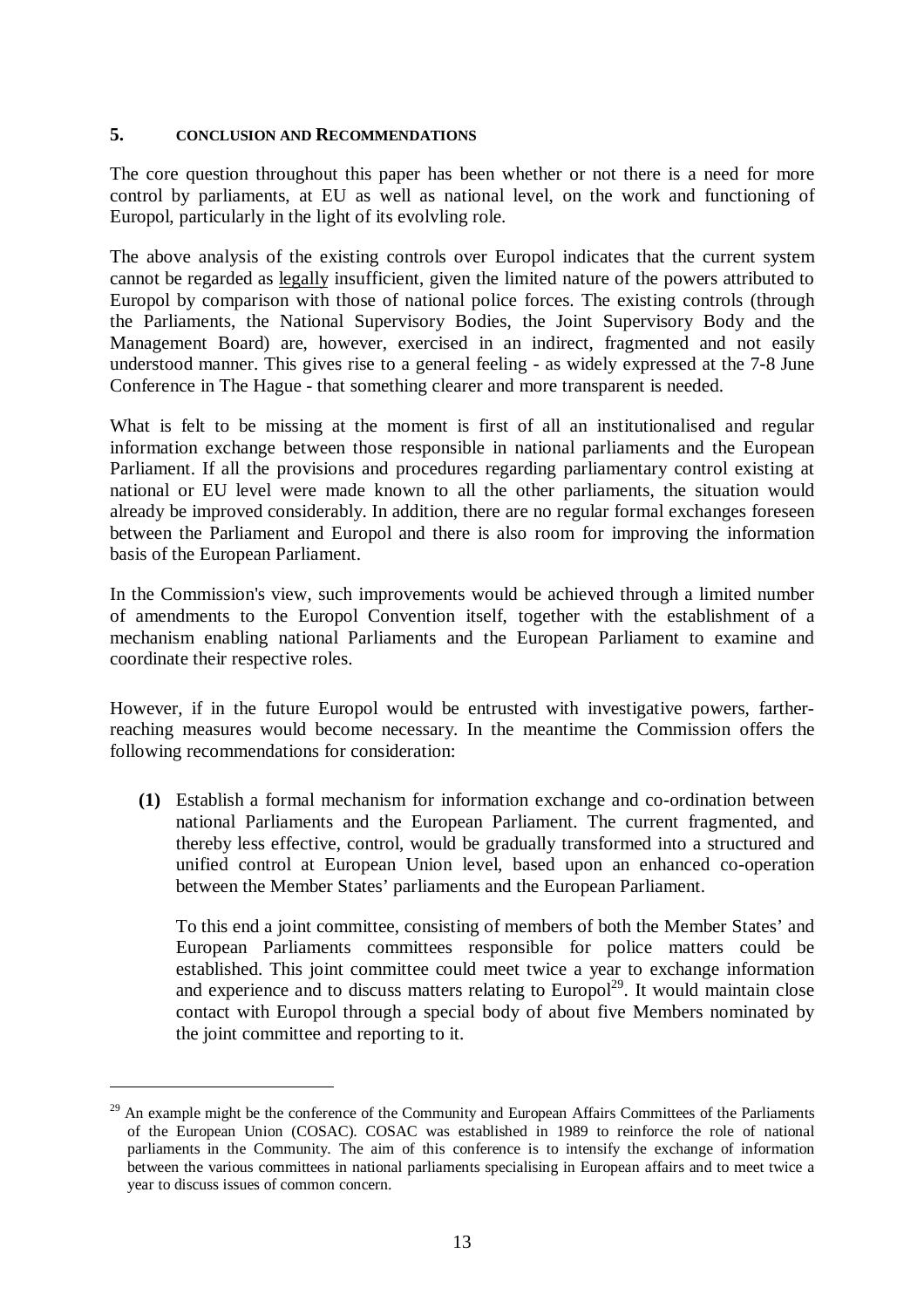#### **5. CONCLUSION AND RECOMMENDATIONS**

The core question throughout this paper has been whether or not there is a need for more control by parliaments, at EU as well as national level, on the work and functioning of Europol, particularly in the light of its evolvling role.

The above analysis of the existing controls over Europol indicates that the current system cannot be regarded as legally insufficient, given the limited nature of the powers attributed to Europol by comparison with those of national police forces. The existing controls (through the Parliaments, the National Supervisory Bodies, the Joint Supervisory Body and the Management Board) are, however, exercised in an indirect, fragmented and not easily understood manner. This gives rise to a general feeling - as widely expressed at the 7-8 June Conference in The Hague - that something clearer and more transparent is needed.

What is felt to be missing at the moment is first of all an institutionalised and regular information exchange between those responsible in national parliaments and the European Parliament. If all the provisions and procedures regarding parliamentary control existing at national or EU level were made known to all the other parliaments, the situation would already be improved considerably. In addition, there are no regular formal exchanges foreseen between the Parliament and Europol and there is also room for improving the information basis of the European Parliament.

In the Commission's view, such improvements would be achieved through a limited number of amendments to the Europol Convention itself, together with the establishment of a mechanism enabling national Parliaments and the European Parliament to examine and coordinate their respective roles.

However, if in the future Europol would be entrusted with investigative powers, fartherreaching measures would become necessary. In the meantime the Commission offers the following recommendations for consideration:

**(1)** Establish a formal mechanism for information exchange and co-ordination between national Parliaments and the European Parliament. The current fragmented, and thereby less effective, control, would be gradually transformed into a structured and unified control at European Union level, based upon an enhanced co-operation between the Member States' parliaments and the European Parliament.

To this end a joint committee, consisting of members of both the Member States' and European Parliaments committees responsible for police matters could be established. This joint committee could meet twice a year to exchange information and experience and to discuss matters relating to Europol<sup>29</sup>. It would maintain close contact with Europol through a special body of about five Members nominated by the joint committee and reporting to it.

<sup>&</sup>lt;sup>29</sup> An example might be the conference of the Community and European Affairs Committees of the Parliaments of the European Union (COSAC). COSAC was established in 1989 to reinforce the role of national parliaments in the Community. The aim of this conference is to intensify the exchange of information between the various committees in national parliaments specialising in European affairs and to meet twice a year to discuss issues of common concern.